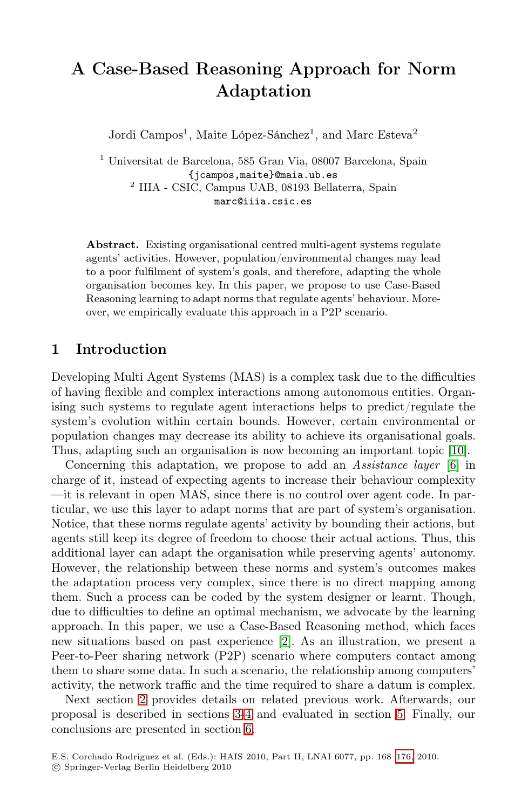# A Case-Based Reasoning Approach for Norm Adaptation

Jordi Campos<sup>1</sup>, Maite López-Sánchez<sup>1</sup>, and Marc Esteva<sup>2</sup>

<sup>1</sup> Universitat de Barcelona, 585 Gran Via, 08007 Barcelona, Spain  $$\rm{f}$  2 IIIA - CSIC, Campus UAB, 08193 Bellaterra, Spain

Abstract. Existing organisational centred multi-agent systems regulate agents' activities. However, population/environmental changes may lead to a poor fulfilment of system's goals, and therefore, adapting the whole organisation becomes key. In this paper, we propose to use Case-Based Reasoning learning to adapt norms that regulate agents' behaviour. Moreover, we empirically evaluate this approach in a P2P scenario.

# 1 Introduction

Developing Multi Agent Systems (MAS) is a complex task due to the difficulties of having flexible and complex interactions among autonomous entities. Organising such systems to regulate agent interactions helps to predict/regulate the system's evolution within certain bounds. However, certain environmental or population changes may decrease its ability to achieve its organisational goals. Thus, adapting such an organisation is now becoming an important topic [10].

Concerning this adaptation, we propose to add an *Assistance layer* [6] in charge of it, instead of expecting agents to increase their behaviour complexity —it is relevant in open MAS, since there is no control over agent code. In particular, we use this layer to adapt norms that are part of system's organisation. Notice, that these norm[s r](#page-7-0)egulate agents' activity by bounding their actions, but agents still keep its degree of freedom to choose their actual actions. Thus, this additional layer can adapt the organisation while preserving agents' autonomy. However, the relationship between these norms and system's outcomes makes the adaptation process very complex, since there is no direct mapping among them. Such a [pr](#page-1-0)[oce](#page-3-0)ss can be coded by the s[yst](#page-5-0)em designer or learnt. Though, due to difficultie[s t](#page-7-1)o define an optimal mechanism, we advocate by the learning approach. In this paper, we use a Case-Based Reasoning method, which faces new situations based on past experience [2][. As](#page-8-0) an illustration, we present a Peer-to-Peer sharing network (P2P) scenario where computers contact among them to share some data. In such a scenario, the relationship among computers' activity, the network traffic and the time required to share a datum is complex.

Next section 2 provides details on related previous work. Afterwards, our proposal is described in sections 3-4 and evaluated in section 5. Finally, our conclusions are presented in section 6.

E.S. Corchado Rodriguez et al. (Eds.): HAIS 2010, Part II, LNAI 6077, pp. 168–176, 2010. -c Springer-Verlag Berlin Heidelberg 2010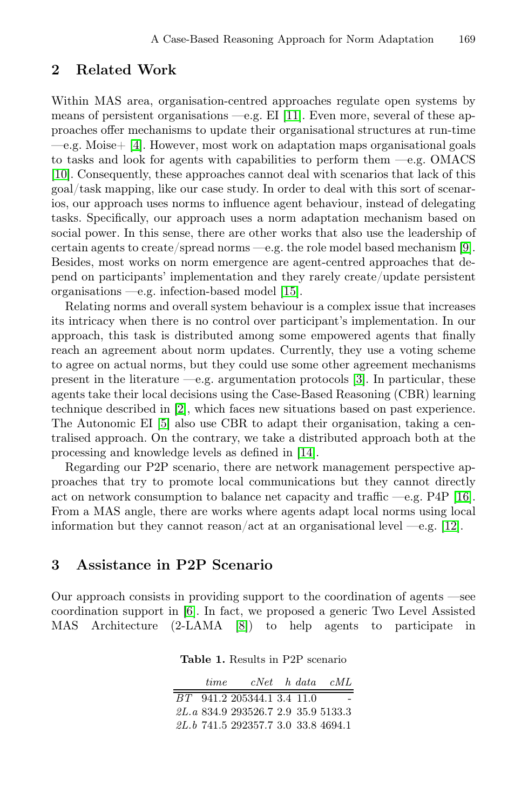# 2 Related Work

Within MAS area, organisation-centred approaches regulate open systems by means of persistent organisations —e.g. EI [11]. Even more, several of these approaches offer mechanisms to update their organisational [str](#page-8-1)uctures at run-time —e.g. Moise+ [4]. However, most work on adaptation maps organisational goals to tasks and look for agents with capabilities to perform them —e.g. OMACS [10]. Consequently, thes[e ap](#page-8-2)proaches cannot deal with scenarios that lack of this goal/task mapping, like our case study. In order to deal with this sort of scenarios, our approach uses norms to influence agent behaviour, instead of delegating tasks. Specifically, our approach uses a norm adaptation mechanism based on social power. In this sense, there are other works that also use the leadership of certain agents to create/spread norms —e.g. the role model based mechanism [9]. Besides, most works on norm emerge[nc](#page-7-2)e are agent-centred approaches that depend on participants' implementation and they rarely create/update persistent orga[ni](#page-7-0)sations —e.g. infection-based model [15].

[R](#page-7-3)elating norms and overall system behaviour is a complex issue that increases its intricacy when there is no control over participant's implementation. In our approach, this task is dist[ribu](#page-8-3)ted among some empowered agents that finally reach an agreement about norm updates. Currently, they use a voting scheme to agree on actual norms, but they could use some other agreement mechanisms present in the literature  $-e.g.$  argumentation protocols [\[3\].](#page-8-4) In particular, these agents take their local decisions using the Case-Based Reasoning (CBR) learning technique described in [2], which faces new situations [bas](#page-8-5)ed on past experience. The Autonomic EI [5] also use CBR to adapt their organisation, taking a centralised approach. On the contrary, we take a distributed approach both at the processing and knowledge levels as defined in [14].

<span id="page-1-0"></span>Regarding our P2P scenario, there are network management perspective approaches that try to promote local communications but they cannot directly act o[n n](#page-7-4)etwork consumption to balance net capacity and traffic —e.g. P4P [16]. From a MAS a[ngl](#page-8-6)e, there are works where agents adapt local norms using local information but they cannot reason/act at an organisational level  $-e.g.$  [12].

### 3 Assistance in P2P Scenario

Our approach consists in providing support to the coordination of agents —see coordination support in [6]. In fact, we proposed a generic Two Level Assisted MAS Architecture (2-LAMA [8]) to help agents to participate in

Table 1. Results in P2P scenario

| time |                                            |  | $cNet$ h data $cML$ |
|------|--------------------------------------------|--|---------------------|
|      | BT 941.2 205344.1 3.4 11.0                 |  |                     |
|      | 2L.a 834.9 293526.7 2.9 35.9 5133.3        |  |                     |
|      | <i>2L.b</i> 741.5 292357.7 3.0 33.8 4694.1 |  |                     |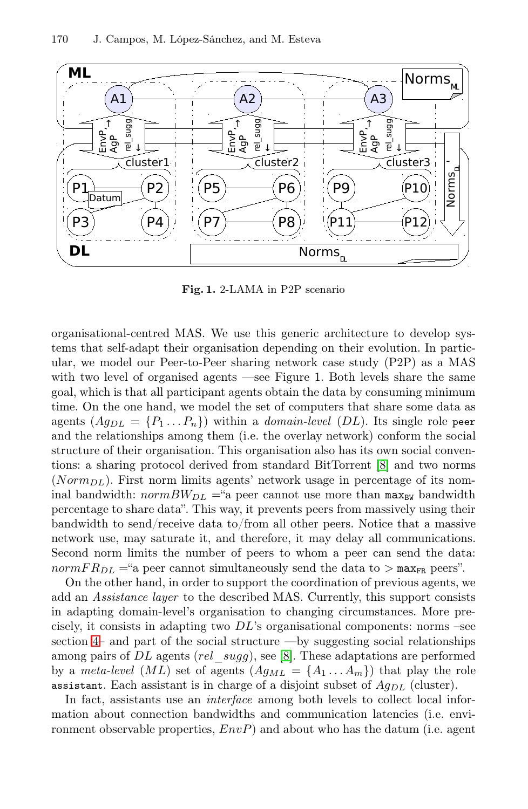

Fig. 1. 2-LAMA in P2P scenario

organisational-centred MAS. We use this generic architecture to develop systems that self-adapt their organisation de[pe](#page-8-6)nding on their evolution. In particular, we model our Peer-to-Peer sharing network case study (P2P) as a MAS with two level of organised agents —see Figure 1. Both levels share the same goal, which is that all participant agents obtain the data by consuming minimum time. On the one hand, we model the set of computers that share some data as agents  $(Ag_{DL} = {P_1...P_n})$  within a *domain-level* (DL). Its single role peer and the relationships among them (i.e. the overlay network) conform the social structure of their organisation. This organisation also has its own social conventions: a sharing protocol derived from standard BitTorrent [8] and two norms  $(Norm_{DL})$ . First norm limits agents' network usage in percentage of its nominal bandwidth:  $normBW_{DL}$  ="a peer cannot use more than  $max_{BW}$  bandwidth percentage to share data". This way, it prevents peers from massively using their bandwidth to send/receive data to/from all other peers. Notice that a massive network use, may satur[ate](#page-8-6) it, and therefore, it may delay all communications. Second norm limits the number of peers to whom a peer can send the data: norm $FR_{DL}$  = "a peer cannot simultaneously send the data to  $>$  max<sub>FR</sub> peers".

On the other hand, in order to support the coordination of previous agents, we add an *Assistance layer* to the described MAS. Currently, this support consists in adapting domain-level's organisation to changing circumstances. More precisely, it consists in adapting two  $DL$ 's organisational components: norms –see section 4– and part of the social structure —by suggesting social relationships among pairs of  $DL$  agents (rel\_sugg), see [8]. These adaptations are performed by a *meta-level* (*ML*) set of agents  $(Ag_{ML} = \{A_1 ... A_m\})$  that play the role assistant. Each assistant is in charge of a disjoint subset of  $Ag_{DL}$  (cluster).

In fact, assistants use an *interface* among both levels to collect local information about connection bandwidths and communication latencies (i.e. environment observable properties,  $EnvP$ ) and about who has the datum (i.e. agent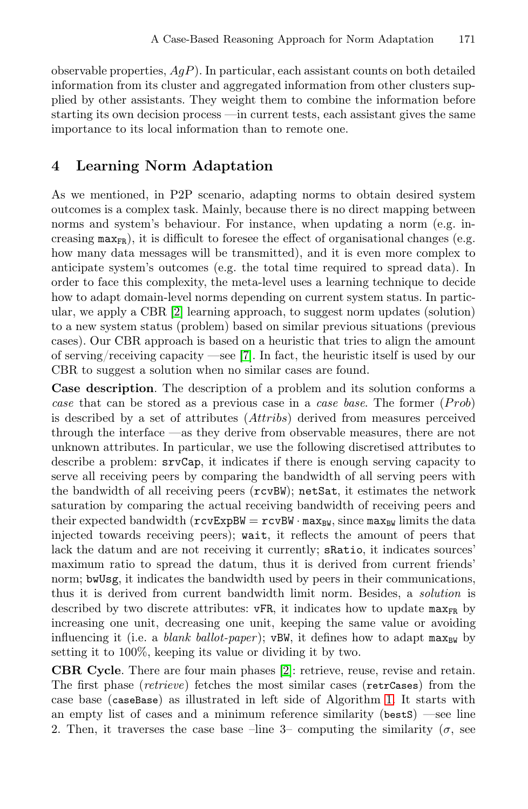<span id="page-3-0"></span>observable properties,  $AgP$ ). In particular, each assistant counts on both detailed information from its cluster and aggregated information from other clusters supplied by other assistants. They weight them to combine the information before starting its own decision process —in current tests, each assistant gives the same importance to its local information than to remote one.

### 4 Learning Norm Adaptation

As [we](#page-7-0) mentioned, in P2P scenario, adapting norms to obtain desired system outcomes is a complex task. Mainly, because there is no direct mapping between norms and system's behaviour. For instance, when updating a norm (e.g. increasing  $max_{FR}$ ), [it](#page-7-5) is difficult to foresee the effect of organisational changes (e.g. how many data messages will be transmitted), and it is even more complex to anticipate system's outcomes (e.g. the total time required to spread data). In order to face this complexity, the meta-level uses a learning technique to decide how to adapt domain-level norms depending on current system status. In particular, we apply a CBR [2] learning approach, to suggest norm updates (solution) to a new system status (problem) based on similar previous situations (previous cases). Our CBR approach is based on a heuristic that tries to align the amount of serving/receiving capacity —see [7]. In fact, the heuristic itself is used by our CBR to suggest a solution when no similar cases are found.

Case description. The description of a problem and its solution conforms a *case* that can be stored as a previous case in a *case base*. The former  $(Prob)$ is described by a set of attributes (Attribs) derived from measures perceived through the interface —as they derive from observable measures, there are not unknown attributes. In particular, we use the following discretised attributes to describe a problem: srvCap, it indicates if there is enough serving capacity to serve all receiving peers by comparing the bandwidth of all serving peers with the bandwidth of all receiving peers (rcvBW); netSat, it estimates the network saturation by comparing the actual receiving bandwidth of receiving peers and their expected bandwidth  $(rcvExpBW = rcvBW \cdot max_{BW},$  since  $max_{BW}$  limits the data injected towards receiving peers); wait, it reflects the amount of peers that lack the datum and are not receiving it currently; sRatio, it indicates sources' maximum ratio to spre[ad](#page-7-0) the datum, thus it is derived from current friends' norm; bwUsg, it indicates the bandwidth used by peers in their communications, thus it is derived from current bandwidt[h](#page-4-0) [l](#page-4-0)imit norm. Besides, a *solution* is described by two discrete attributes:  $vFR$ , it indicates how to update  $max_{FR}$  by increasing one unit, decreasing one unit, keeping the same value or avoiding influencing it (i.e. a *blank ballot-paper*); vBW, it defines how to adapt  $\max_{BW}$  by setting it to 100%, keeping its value or dividing it by two.

CBR Cycle. There are four main phases [2]: retrieve, reuse, revise and retain. The first phase (*retrieve*) fetches the most similar cases (retrCases) from the case base (caseBase) as illustrated in left side of Algorithm 1. It starts with an empty list of cases and a minimum reference similarity (bestS) —see line 2. Then, it traverses the case base –line 3– computing the similarity ( $\sigma$ , see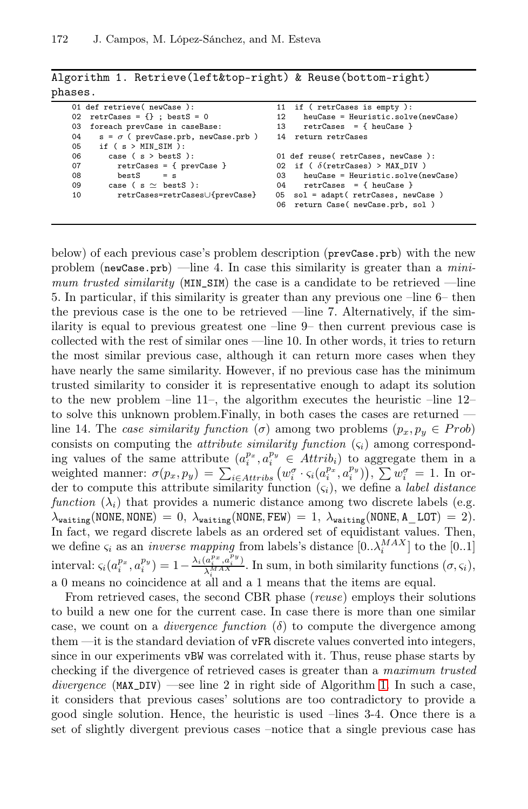<span id="page-4-0"></span>

| Algorithm 1. Retrieve(left&top-right) & Reuse(bottom-right) |                                            |    |                                         |  |  |  |  |
|-------------------------------------------------------------|--------------------------------------------|----|-----------------------------------------|--|--|--|--|
| phases.                                                     |                                            |    |                                         |  |  |  |  |
|                                                             | 01 def retrieve( newCase):                 |    | 11 if (retrCases is empty):             |  |  |  |  |
|                                                             | 02 retrCases = $\{\}$ ; bestS = 0          | 12 | $heuCase = Heuristic.solve(newCase)$    |  |  |  |  |
| 03                                                          | foreach prevCase in caseBase:              | 13 | $retrCases = {heuCase}$                 |  |  |  |  |
| 04                                                          | $s = \sigma$ ( prevCase.prb, newCase.prb ) |    | 14 return retrCases                     |  |  |  |  |
| 05                                                          | if $(s > MIN SIM)$ :                       |    |                                         |  |  |  |  |
| 06                                                          | case $(s > bestS)$ :                       |    | 01 def reuse (retrCases, newCase):      |  |  |  |  |
| 07                                                          | $retrCases = { prevCase }$                 |    | 02 if ( $\delta$ (retrCases) > MAX DIV) |  |  |  |  |
| 08                                                          | bestS<br>$=$ s                             | 03 | heuCase = Heuristic.solve(newCase)      |  |  |  |  |
| 09                                                          | case ( $s \simeq$ bestS ):                 | 04 | $retrCase = \{ heuCase \}$              |  |  |  |  |
| 10                                                          | retrCases=retrCases $\cup$ {prevCase}      |    | 05 sol = adapt (retrCases, newCase)     |  |  |  |  |
|                                                             |                                            | 06 | return Case( newCase.prb, sol)          |  |  |  |  |
|                                                             |                                            |    |                                         |  |  |  |  |

below) of each previous case's problem description (prevCase.prb) with the new problem (newCase.prb) —line 4. In case this similarity is greater than a *minimum trusted similarity* (MIN\_SIM) the case is a candidate to be retrieved —line 5. In particular, if this similarity is greater than any previous one –line 6– then the previous case is the one to be retrieved —line 7. Alternatively, if the similarity is equal to previous greatest one –line 9– then current previous case is collected with the rest of similar ones —line 10. In other words, it tries to return the most similar previous case, although it can return more cases when they have nearly the same similarity. However, if no previous case has the minimum trusted similarity to consider it is representative enough to adapt its solution to the new problem –line 11–, the algorithm executes the heuristic –line  $12$ to solve this unknown problem.Finally, in both cases the cases are returned line 14. The *case similarity function*  $(\sigma)$  among two problems  $(p_x, p_y \in Prob)$  consists on computing the *attribute similarity function*  $(\varsigma_i)$  among correspondconsists on computing the *attribute similarity function*  $(\varsigma_i)$  among correspond-<br>ing values of the same attribute  $(e^{px}e^{py} \in Attrib.)$  to aggregate them in a ing values of the same attribute  $(a_i^{p_x}, a_i^{p_y} \in \text{Attrib}_i)$  to aggregate them in a<br>weighted manner:  $\sigma(n, n) = \sum_{i=1}^n (w_i^{\sigma} \cdot c_i(a_i^{p_x}, a_i^{p_y})) \sum_{i=1}^n \sum_{j=1}^n c_j$ weighted manner:  $\sigma(p_x, p_y) = \sum_{i \in Attribs} (w_i^{\sigma} \cdot \varsigma_i(a_i^{p_x}, a_i^{p_y}))$ ,  $\sum w_i^{\sigma} = 1$ . In order to compute this attribute similarity function  $(\varsigma_i)$ , we define a *label distance* der to compute this attribute similarity function  $(\varsigma_i)$ , we define a *label distance function*  $(\lambda_i)$  that provides a numeric distance among two discrete labels (e.g.  $\lambda_{\text{waiting}}(\text{NONE}, \text{NONE})=0, \lambda_{\text{waiting}}(\text{NONE}, \text{FEW})=1, \lambda_{\text{waiting}}(\text{NONE}, \text{A\_LOT})=2).$ In fact, we regard discrete labels as an ordered set of equidistant values. Then, we define  $\varsigma_i$  as an *inverse mapping* from labels's distance  $[0..\lambda_i^{MAX}]$  to the  $[0..1]$ interval:  $\varsigma_i(a_i^{p_x}, a_i^{p_y}) = 1 - \frac{\lambda_i(a_i^{p_x}, a_i^{p_y})}{\lambda_i^{MAX}}$ . In s[um](#page-4-0), in both similarity functions  $(\sigma, \varsigma_i)$ , a 0 means no coincidence at all and a 1 means that the items are equal.

From retrieved cases, the second CBR phase (*reuse*) employs their solutions to build a new one for the current case. In case there is more than one similar case, we count on a *divergence function*  $(\delta)$  to compute the divergence among them —it is the standard deviation of vFR discrete values converted into integers, since in our experiments vBW was correlated with it. Thus, reuse phase starts by checking if the divergence of retrieved cases is greater than a *maximum trusted*  $divergence$  ( $MAX_DIV$ ) —see line 2 in right side of Algorithm 1. In such a case, it considers that previous cases' solutions are too contradictory to provide a good single solution. Hence, the heuristic is used –lines 3-4. Once there is a set of slightly divergent previous cases –notice that a single previous case has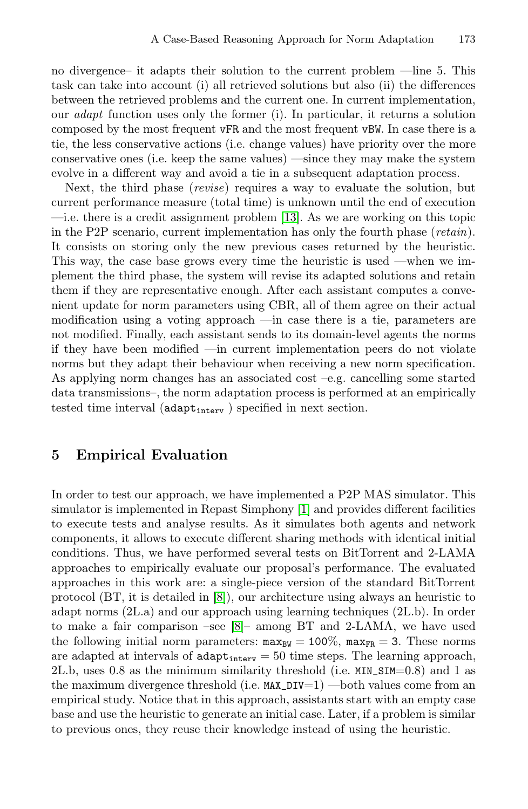no divergence– it adapts their solution to the current problem —line 5. This task can take into account (i) all retrieved solutions but also (ii) the differences between the retrieved pr[obl](#page-8-7)ems and the current one. In current implementation, our *adapt* function uses only the former (i). In particular, it returns a solution composed by the most frequent vFR and the most frequent vBW. In case there is a tie, the less conservative actions (i.e. change values) have priority over the more conservative ones (i.e. keep the same values) —since they may make the system evolve in a different way and avoid a tie in a subsequent adaptation process.

Next, the third phase (*revise*) requires a way to evaluate the solution, but current performance measure (total time) is unknown until the end of execution —i.e. there is a credit assignment problem [13]. As we are working on this topic in the P2P scenario, current implementation has only the fourth phase (*retain*). It consists on storing only the new previous cases returned by the heuristic. This way, the case base grows every time the heuristic is used —when we implement the third phase, the system will revise its adapted solutions and retain them if they are representative enough. After each assistant computes a convenient update for norm parameters using CBR, all of them agree on their actual modification using a voting approach —in case there is a tie, parameters are not modified. Finally, each assistant sends to its domain-level agents the norms if they have been modified —in current implementation peers do not violate norms but they adapt their behaviour when receiving a new norm specification. As applying norm changes has an associated cost –e.g. cancelling some started data transmissions–, the no[rm](#page-7-6) adaptation process is performed at an empirically tested time interval  $(\texttt{adapt}_{\text{interv}})$  specified in next section.

### <span id="page-5-0"></span>5 Empirical Evaluation

In order to [tes](#page-8-6)t our approach, we have implemented a P2P MAS simulator. This simulator is im[ple](#page-8-6)mented in Repast Simphony [1] and provides different facilities to execute tests and analyse results. As it simulates both agents and network components, it allows to execute different sharing methods with identical initial conditions. Thus, we have performed several tests on BitTorrent and 2-LAMA approaches to empirically evaluate our proposal's performance. The evaluated approaches in this work are: a single-piece version of the standard BitTorrent protocol (BT, it is detailed in [8]), our architecture using always an heuristic to adapt norms (2L.a) and our approach using learning techniques (2L.b). In order to make a fair comparison –see [8]– among BT and 2-LAMA, we have used the following initial norm parameters:  $\text{max}_{BW} = 100\%$ ,  $\text{max}_{FR} = 3$ . These norms are adapted at intervals of  $\text{adapt}_{\text{interv}} = 50$  time steps. The learning approach, 2L.b, uses 0.8 as the minimum similarity threshold (i.e.  $MIN\_SIM=0.8$ ) and 1 as the maximum divergence threshold (i.e.  $MAX_DIV=1$ ) —both values come from an empirical study. Notice that in this approach, assistants start with an empty case base and use the heuristic to generate an initial case. Later, if a problem is similar to previous ones, they reuse their knowledge instead of using the heuristic.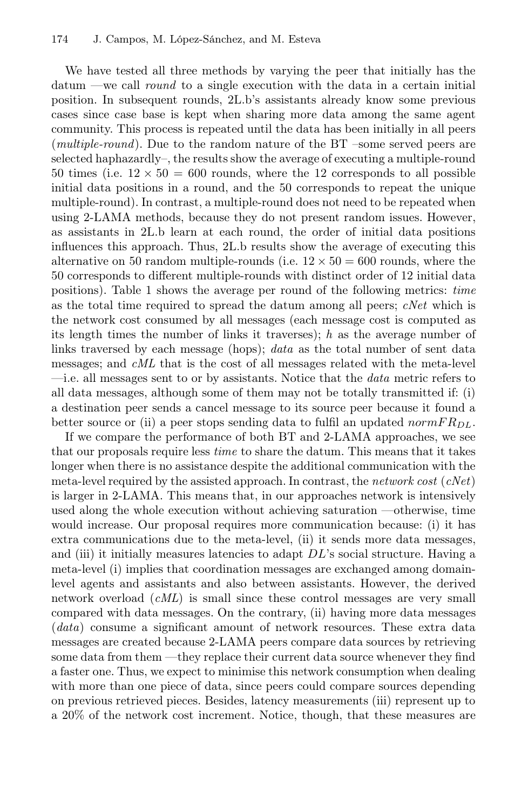We have tested all three methods by varying the peer that initially has the datum —we call *round* to a single execution with the data in a certain initial position. In subsequent rounds, 2L.b's assistants already know some previous cases since case base is kept when sharing more data among the same agent community. This process is repeated until the data has been initially in all peers (*multiple-round*). Due to the random nature of the BT –some served peers are selected haphazardly–, the results show the average of executing a multiple-round 50 times (i.e.  $12 \times 50 = 600$  rounds, where the 12 corresponds to all possible initial data positions in a round, and the 50 corresponds to repeat the unique multiple-round). In contrast, a multiple-round does not need to be repeated when using 2-LAMA methods, because they do not present random issues. However, as assistants in 2L.b learn at each round, the order of initial data positions influences this approach. Thus, 2L.b results show the average of executing this alternative on 50 random multiple-rounds (i.e.  $12 \times 50 = 600$  rounds, where the 50 corresponds to different multiple-rounds with distinct order of 12 initial data positions). Table 1 shows the average per round of the following metrics: *time* as the total time required to spread the datum among all peers; *cNet* which is the network cost consumed by all messages (each message cost is computed as its length times the number of links it traverses); *h* as the average number of links traversed by each message (hops); *data* as the total number of sent data messages; and *cML* that is the cost of all messages related with the meta-level —i.e. all messages sent to or by assistants. Notice that the *data* metric refers to all data messages, although some of them may not be totally transmitted if: (i) a destination peer sends a cancel message to its source peer because it found a better source or (ii) a peer stops sending data to fulfil an updated norm  $FR_{DL}$ .

If we compare the performance of both BT and 2-LAMA approaches, we see that our proposals require less *time* to share the datum. This means that it takes longer when there is no assistance despite the additional communication with the meta-level required by the assisted approach. In contrast, the *network cost* (*cNet*) is larger in 2-LAMA. This means that, in our approaches network is intensively used along the whole execution without achieving saturation —otherwise, time would increase. Our proposal requires more communication because: (i) it has extra communications due to the meta-level, (ii) it sends more data messages, and (iii) it initially measures latencies to adapt  $DL$ 's social structure. Having a meta-level (i) implies that coordination messages are exchanged among domainlevel agents and assistants and also between assistants. However, the derived network overload (*cML*) is small since these control messages are very small compared with data messages. On the contrary, (ii) having more data messages (*data*) consume a significant amount of network resources. These extra data messages are created because 2-LAMA peers compare data sources by retrieving some data from them —they replace their current data source whenever they find a faster one. Thus, we expect to minimise this network consumption when dealing with more than one piece of data, since peers could compare sources depending on previous retrieved pieces. Besides, latency measurements (iii) represent up to a 20% of the network cost increment. Notice, though, that these measures are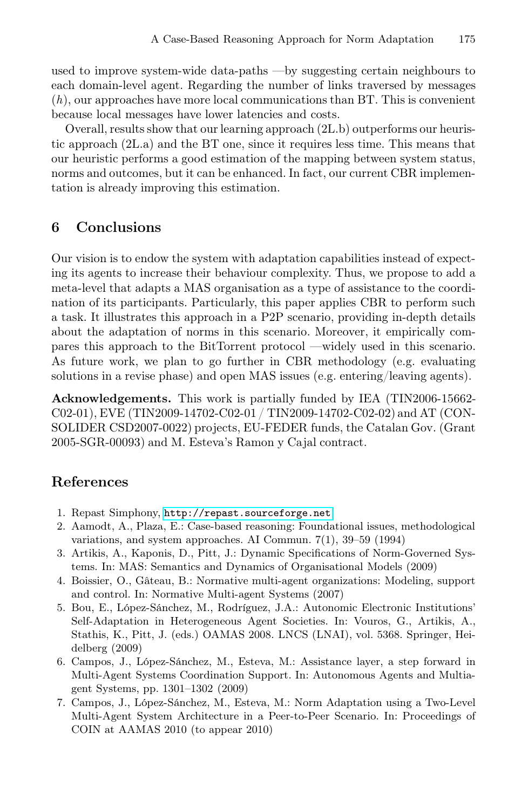<span id="page-7-1"></span>used to improve system-wide data-paths —by suggesting certain neighbours to each domain-level agent. Regarding the number of links traversed by messages (*h*), our approaches have more local communications than BT. This is convenient because local messages have lower latencies and costs.

Overall, results show that our learning approach (2L.b) outperforms our heuristic approach (2L.a) and the BT one, since it requires less time. This means that our heuristic performs a good estimation of the mapping between system status, norms and outcomes, but it can be enhanced. In fact, our current CBR implementation is already improving this estimation.

#### 6 Conclusions

Our vision is to endow the system with adaptation capabilities instead of expecting its agents to increase their behaviour complexity. Thus, we propose to add a meta-level that adapts a MAS organisation as a type of assistance to the coordination of its participants. Particularly, this paper applies CBR to perform such a task. It illustrates this approach in a P2P scenario, providing in-depth details about the adaptation of norms in this scenario. Moreover, it empirically compares this approach to the BitTorrent protocol —widely used in this scenario. As future work, we plan to go further in CBR methodology (e.g. evaluating solutions in a revise phase) and open MAS issues (e.g. entering/leaving agents).

<span id="page-7-6"></span><span id="page-7-2"></span><span id="page-7-0"></span>A[cknowledgements.](http://repast.sourceforge.net) This work is partially funded by IEA (TIN2006-15662- C02-01), EVE (TIN2009-14702-C02-01 / TIN2009-14702-C02-02) and AT (CON-SOLIDER CSD2007-0022) projects, EU-FEDER funds, the Catalan Gov. (Grant 2005-SGR-00093) and M. Esteva's Ramon y Cajal contract.

### <span id="page-7-3"></span>References

- 1. Repast Simphony, http://repast.sourceforge.net
- <span id="page-7-4"></span>2. Aamodt, A., Plaza, E.: Case-based reasoning: Foundational issues, methodological variations, and system approaches. AI Commun. 7(1), 39–59 (1994)
- 3. Artikis, A., Kaponis, D., Pitt, J.: Dynamic Specifications of Norm-Governed Systems. In: MAS: Semantics and Dynamics of Organisational Models (2009)
- <span id="page-7-5"></span>4. Boissier, O., Gâteau, B.: Normative multi-agent organizations: Modeling, support and control. In: Normative Multi-agent Systems (2007)
- 5. Bou, E., López-Sánchez, M., Rodríguez, J.A.: Autonomic Electronic Institutions' Self-Adaptation in Heterogeneous Agent Societies. In: Vouros, G., Artikis, A., Stathis, K., Pitt, J. (eds.) OAMAS 2008. LNCS (LNAI), vol. 5368. Springer, Heidelberg (2009)
- 6. Campos, J., López-Sánchez, M., Esteva, M.: Assistance layer, a step forward in Multi-Agent Systems Coordination Support. In: Autonomous Agents and Multiagent Systems, pp. 1301–1302 (2009)
- 7. Campos, J., López-Sánchez, M., Esteva, M.: Norm Adaptation using a Two-Level Multi-Agent System Architecture in a Peer-to-Peer Scenario. In: Proceedings of COIN at AAMAS 2010 (to appear 2010)